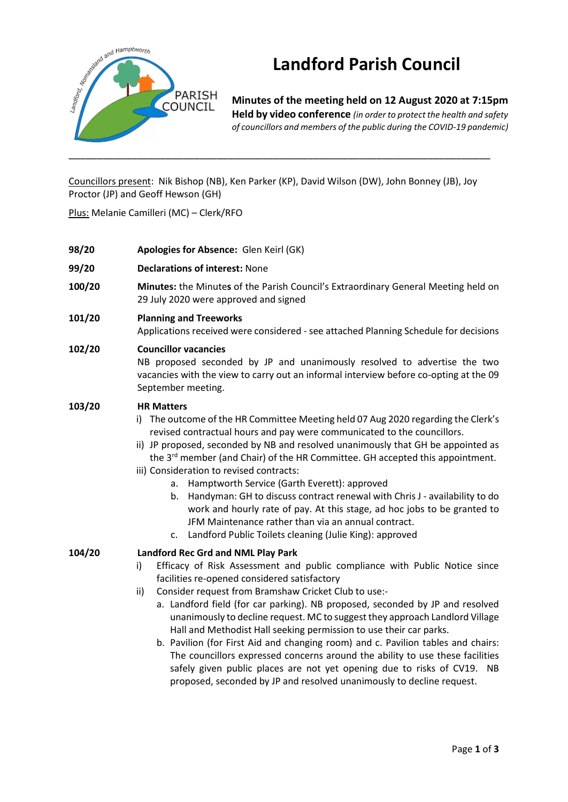

# **Landford Parish Council**

**Minutes of the meeting held on 12 August 2020 at 7:15pm Held by video conference** *(in order to protect the health and safety of councillors and members of the public during the COVID-19 pandemic)* 

Councillors present: Nik Bishop (NB), Ken Parker (KP), David Wilson (DW), John Bonney (JB), Joy Proctor (JP) and Geoff Hewson (GH)

Plus: Melanie Camilleri (MC) – Clerk/RFO

**98/20 Apologies for Absence:** Glen Keirl (GK) **99/20 Declarations of interest:** None **100/20 <b>Minutes:** the Minutes of the Parish Council's Extraordinary General Meeting held on 29 July 2020 were approved and signed **101/20 Planning and Treeworks** Applications received were considered - see attached Planning Schedule for decisions **102/20 Councillor vacancies** NB proposed seconded by JP and unanimously resolved to advertise the two vacancies with the view to carry out an informal interview before co-opting at the 09 September meeting. **103/20 HR Matters**  i) The outcome of the HR Committee Meeting held 07 Aug 2020 regarding the Clerk's revised contractual hours and pay were communicated to the councillors. ii) JP proposed, seconded by NB and resolved unanimously that GH be appointed as the 3<sup>rd</sup> member (and Chair) of the HR Committee. GH accepted this appointment. iii) Consideration to revised contracts: a. Hamptworth Service (Garth Everett): approved b. Handyman: GH to discuss contract renewal with Chris J - availability to do work and hourly rate of pay. At this stage, ad hoc jobs to be granted to JFM Maintenance rather than via an annual contract. c. Landford Public Toilets cleaning (Julie King): approved **104/20 Landford Rec Grd and NML Play Park** i) Efficacy of Risk Assessment and public compliance with Public Notice since facilities re-opened considered satisfactory ii) Consider request from Bramshaw Cricket Club to use: a. Landford field (for car parking). NB proposed, seconded by JP and resolved unanimously to decline request. MC to suggest they approach Landlord Village Hall and Methodist Hall seeking permission to use their car parks. b. Pavilion (for First Aid and changing room) and c. Pavilion tables and chairs: The councillors expressed concerns around the ability to use these facilities safely given public places are not yet opening due to risks of CV19. NB

proposed, seconded by JP and resolved unanimously to decline request.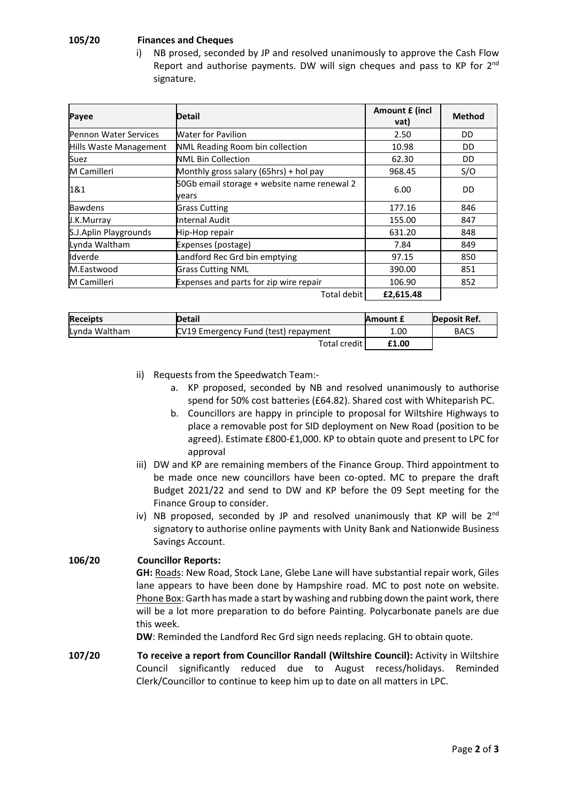### **105/20 Finances and Cheques**

i) NB prosed, seconded by JP and resolved unanimously to approve the Cash Flow Report and authorise payments. DW will sign cheques and pass to KP for 2<sup>nd</sup> signature.

| Payee                        | Detail                                               | Amount £ (incl<br>vat) | <b>Method</b> |
|------------------------------|------------------------------------------------------|------------------------|---------------|
| <b>Pennon Water Services</b> | <b>Water for Pavilion</b>                            | 2.50                   | DD            |
| Hills Waste Management       | NML Reading Room bin collection                      | 10.98                  | DD            |
| Suez                         | <b>NML Bin Collection</b>                            | 62.30                  | DD            |
| M Camilleri                  | Monthly gross salary (65hrs) + hol pay               | 968.45                 | S/O           |
| 1&1                          | 50Gb email storage + website name renewal 2<br>vears | 6.00                   | DD            |
| <b>Bawdens</b>               | <b>Grass Cutting</b>                                 | 177.16                 | 846           |
| J.K.Murray                   | Internal Audit                                       | 155.00                 | 847           |
| S.J.Aplin Playgrounds        | Hip-Hop repair                                       | 631.20                 | 848           |
| Lynda Waltham                | Expenses (postage)                                   | 7.84                   | 849           |
| lldverde                     | Landford Rec Grd bin emptying                        | 97.15                  | 850           |
| M.Eastwood                   | <b>Grass Cutting NML</b>                             | 390.00                 | 851           |
| M Camilleri                  | Expenses and parts for zip wire repair               | 106.90                 | 852           |
|                              | Total debit                                          | £2,615.48              |               |

| <b>Receipts</b> | <b>Detail</b>                        | <b>Amount £</b> | Deposit Ref. |
|-----------------|--------------------------------------|-----------------|--------------|
| Lynda Waltham   | CV19 Emergency Fund (test) repayment | 1.00            | <b>BACS</b>  |
|                 | <b>Total credit</b>                  | £1.00           |              |

- ii) Requests from the Speedwatch Team:
	- a. KP proposed, seconded by NB and resolved unanimously to authorise spend for 50% cost batteries (£64.82). Shared cost with Whiteparish PC.
	- b. Councillors are happy in principle to proposal for Wiltshire Highways to place a removable post for SID deployment on New Road (position to be agreed). Estimate £800-£1,000. KP to obtain quote and present to LPC for approval
- iii) DW and KP are remaining members of the Finance Group. Third appointment to be made once new councillors have been co-opted. MC to prepare the draft Budget 2021/22 and send to DW and KP before the 09 Sept meeting for the Finance Group to consider.
- iv) NB proposed, seconded by JP and resolved unanimously that KP will be  $2^{nd}$ signatory to authorise online payments with Unity Bank and Nationwide Business Savings Account.

# **106/20 Councillor Reports:**

**GH:** Roads: New Road, Stock Lane, Glebe Lane will have substantial repair work, Giles lane appears to have been done by Hampshire road. MC to post note on website. Phone Box: Garth has made a start by washing and rubbing down the paint work, there will be a lot more preparation to do before Painting. Polycarbonate panels are due this week.

**DW**: Reminded the Landford Rec Grd sign needs replacing. GH to obtain quote.

**107/20 To receive a report from Councillor Randall (Wiltshire Council):** Activity in Wiltshire Council significantly reduced due to August recess/holidays. Reminded Clerk/Councillor to continue to keep him up to date on all matters in LPC.